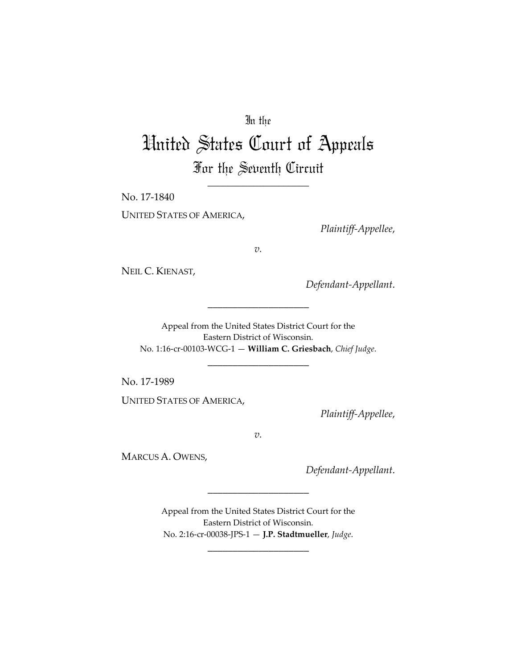## In the

## United States Court of Appeals For the Seventh Circuit

\_\_\_\_\_\_\_\_\_\_\_\_\_\_\_\_\_\_\_\_

No. 17-1840

UNITED STATES OF AMERICA,

*Plaintiff-Appellee*,

*v.*

NEIL C. KIENAST,

*Defendant-Appellant*.

Appeal from the United States District Court for the Eastern District of Wisconsin. No. 1:16-cr-00103-WCG-1 — **William C. Griesbach**, *Chief Judge*.

\_\_\_\_\_\_\_\_\_\_\_\_\_\_\_\_\_\_\_\_

\_\_\_\_\_\_\_\_\_\_\_\_\_\_\_\_\_\_\_\_

No. 17-1989

UNITED STATES OF AMERICA,

*Plaintiff-Appellee*,

*v.*

MARCUS A. OWENS,

*Defendant-Appellant*.

Appeal from the United States District Court for the Eastern District of Wisconsin. No. 2:16-cr-00038-JPS-1 — **J.P. Stadtmueller**, *Judge*.

\_\_\_\_\_\_\_\_\_\_\_\_\_\_\_\_\_\_\_\_

\_\_\_\_\_\_\_\_\_\_\_\_\_\_\_\_\_\_\_\_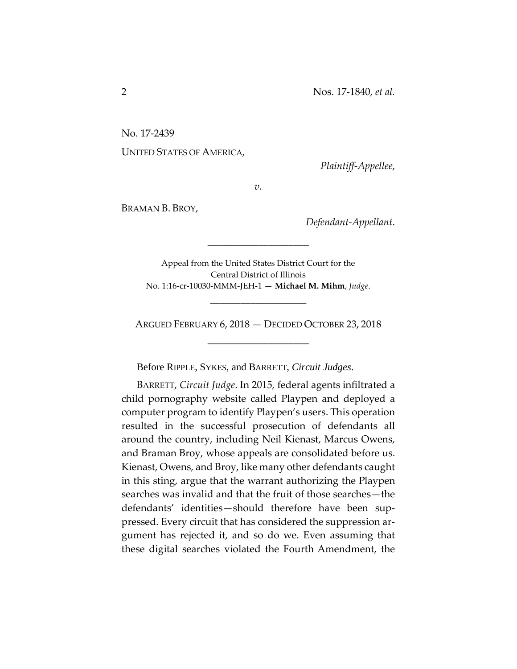No. 17-2439

UNITED STATES OF AMERICA,

*Plaintiff-Appellee*,

*v.*

BRAMAN B. BROY,

*Defendant-Appellant*.

Appeal from the United States District Court for the Central District of Illinois No. 1:16-cr-10030-MMM-JEH-1 — **Michael M. Mihm**, *Judge*.

\_\_\_\_\_\_\_\_\_\_\_\_\_\_\_\_\_\_\_

\_\_\_\_\_\_\_\_\_\_\_\_\_\_\_\_\_\_\_\_

ARGUED FEBRUARY 6, 2018 — DECIDED OCTOBER 23, 2018 \_\_\_\_\_\_\_\_\_\_\_\_\_\_\_\_\_\_\_\_

Before RIPPLE, SYKES, and BARRETT, *Circuit Judges*.

BARRETT, *Circuit Judge*. In 2015, federal agents infiltrated a child pornography website called Playpen and deployed a computer program to identify Playpen's users. This operation resulted in the successful prosecution of defendants all around the country, including Neil Kienast, Marcus Owens, and Braman Broy, whose appeals are consolidated before us. Kienast, Owens, and Broy, like many other defendants caught in this sting, argue that the warrant authorizing the Playpen searches was invalid and that the fruit of those searches—the defendants' identities—should therefore have been suppressed. Every circuit that has considered the suppression argument has rejected it, and so do we. Even assuming that these digital searches violated the Fourth Amendment, the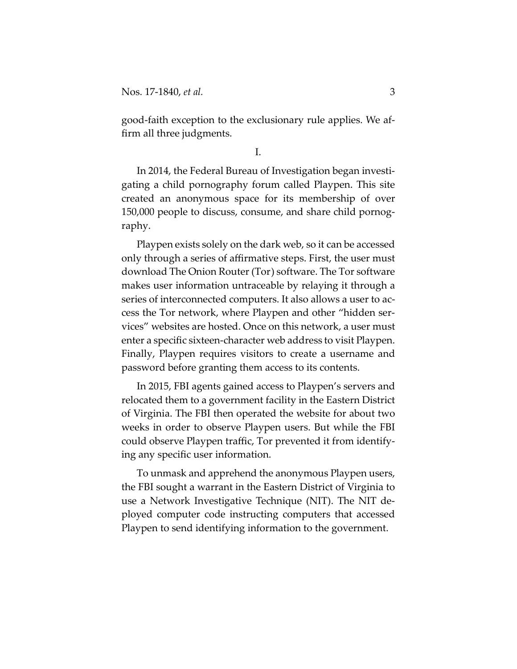good-faith exception to the exclusionary rule applies. We affirm all three judgments.

I.

In 2014, the Federal Bureau of Investigation began investigating a child pornography forum called Playpen. This site created an anonymous space for its membership of over 150,000 people to discuss, consume, and share child pornography.

Playpen exists solely on the dark web, so it can be accessed only through a series of affirmative steps. First, the user must download The Onion Router (Tor) software. The Tor software makes user information untraceable by relaying it through a series of interconnected computers. It also allows a user to access the Tor network, where Playpen and other "hidden services" websites are hosted. Once on this network, a user must enter a specific sixteen-character web address to visit Playpen. Finally, Playpen requires visitors to create a username and password before granting them access to its contents.

In 2015, FBI agents gained access to Playpen's servers and relocated them to a government facility in the Eastern District of Virginia. The FBI then operated the website for about two weeks in order to observe Playpen users. But while the FBI could observe Playpen traffic, Tor prevented it from identifying any specific user information.

To unmask and apprehend the anonymous Playpen users, the FBI sought a warrant in the Eastern District of Virginia to use a Network Investigative Technique (NIT). The NIT deployed computer code instructing computers that accessed Playpen to send identifying information to the government.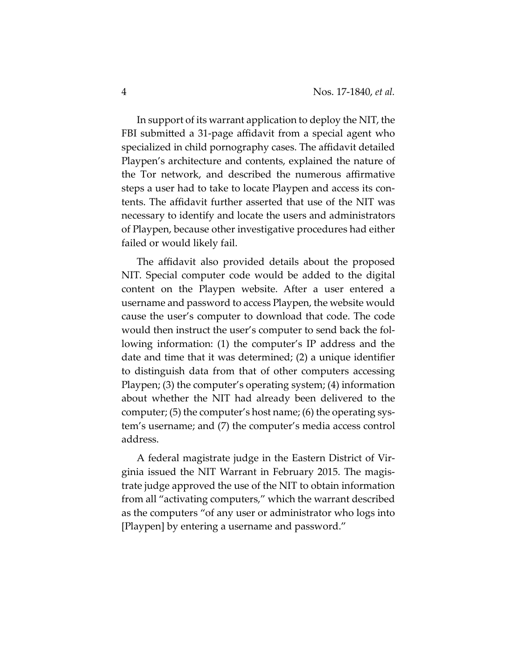In support of its warrant application to deploy the NIT, the FBI submitted a 31-page affidavit from a special agent who specialized in child pornography cases. The affidavit detailed Playpen's architecture and contents, explained the nature of the Tor network, and described the numerous affirmative steps a user had to take to locate Playpen and access its contents. The affidavit further asserted that use of the NIT was necessary to identify and locate the users and administrators of Playpen, because other investigative procedures had either failed or would likely fail.

The affidavit also provided details about the proposed NIT. Special computer code would be added to the digital content on the Playpen website. After a user entered a username and password to access Playpen, the website would cause the user's computer to download that code. The code would then instruct the user's computer to send back the following information: (1) the computer's IP address and the date and time that it was determined; (2) a unique identifier to distinguish data from that of other computers accessing Playpen; (3) the computer's operating system; (4) information about whether the NIT had already been delivered to the computer; (5) the computer's host name; (6) the operating system's username; and (7) the computer's media access control address.

A federal magistrate judge in the Eastern District of Virginia issued the NIT Warrant in February 2015. The magistrate judge approved the use of the NIT to obtain information from all "activating computers," which the warrant described as the computers "of any user or administrator who logs into [Playpen] by entering a username and password."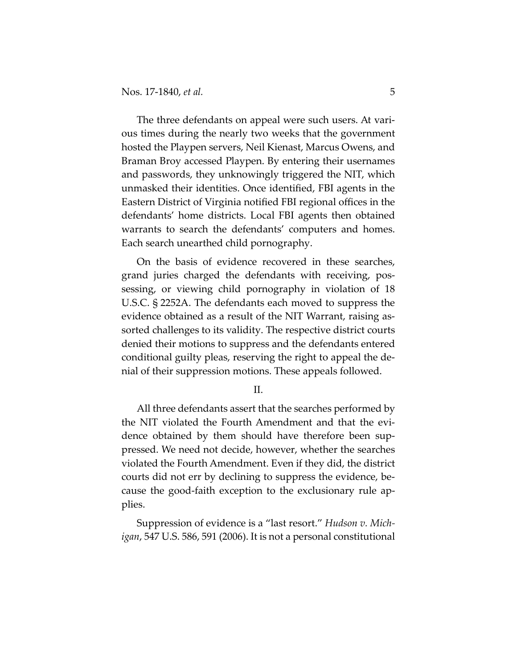The three defendants on appeal were such users. At various times during the nearly two weeks that the government hosted the Playpen servers, Neil Kienast, Marcus Owens, and Braman Broy accessed Playpen. By entering their usernames and passwords, they unknowingly triggered the NIT, which unmasked their identities. Once identified, FBI agents in the Eastern District of Virginia notified FBI regional offices in the defendants' home districts. Local FBI agents then obtained warrants to search the defendants' computers and homes. Each search unearthed child pornography.

On the basis of evidence recovered in these searches, grand juries charged the defendants with receiving, possessing, or viewing child pornography in violation of 18 U.S.C. § 2252A. The defendants each moved to suppress the evidence obtained as a result of the NIT Warrant, raising assorted challenges to its validity. The respective district courts denied their motions to suppress and the defendants entered conditional guilty pleas, reserving the right to appeal the denial of their suppression motions. These appeals followed.

II.

All three defendants assert that the searches performed by the NIT violated the Fourth Amendment and that the evidence obtained by them should have therefore been suppressed. We need not decide, however, whether the searches violated the Fourth Amendment. Even if they did, the district courts did not err by declining to suppress the evidence, because the good-faith exception to the exclusionary rule applies.

Suppression of evidence is a "last resort." *Hudson v. Michigan*, 547 U.S. 586, 591 (2006). It is not a personal constitutional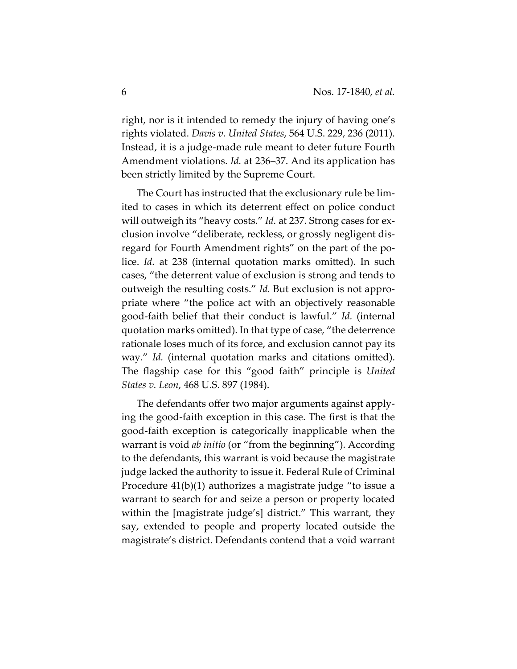right, nor is it intended to remedy the injury of having one's rights violated. *Davis v. United States*, 564 U.S. 229, 236 (2011). Instead, it is a judge-made rule meant to deter future Fourth Amendment violations. *Id.* at 236–37. And its application has been strictly limited by the Supreme Court.

The Court has instructed that the exclusionary rule be limited to cases in which its deterrent effect on police conduct will outweigh its "heavy costs." *Id.* at 237. Strong cases for exclusion involve "deliberate, reckless, or grossly negligent disregard for Fourth Amendment rights" on the part of the police. *Id.* at 238 (internal quotation marks omitted). In such cases, "the deterrent value of exclusion is strong and tends to outweigh the resulting costs." *Id.* But exclusion is not appropriate where "the police act with an objectively reasonable good-faith belief that their conduct is lawful." *Id.* (internal quotation marks omitted). In that type of case, "the deterrence rationale loses much of its force, and exclusion cannot pay its way." *Id.* (internal quotation marks and citations omitted). The flagship case for this "good faith" principle is *United States v. Leon*, 468 U.S. 897 (1984).

The defendants offer two major arguments against applying the good-faith exception in this case. The first is that the good-faith exception is categorically inapplicable when the warrant is void *ab initio* (or "from the beginning"). According to the defendants, this warrant is void because the magistrate judge lacked the authority to issue it. Federal Rule of Criminal Procedure 41(b)(1) authorizes a magistrate judge "to issue a warrant to search for and seize a person or property located within the [magistrate judge's] district." This warrant, they say, extended to people and property located outside the magistrate's district. Defendants contend that a void warrant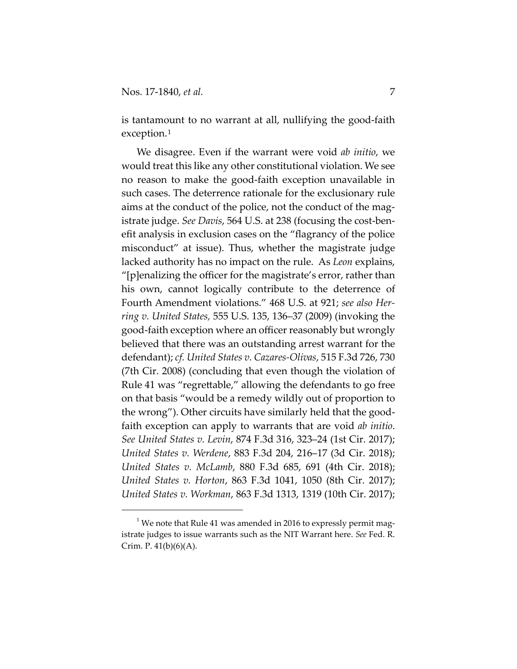$\overline{a}$ 

is tantamount to no warrant at all, nullifying the good-faith exception.[1](#page-6-0)

We disagree. Even if the warrant were void *ab initio*, we would treat this like any other constitutional violation. We see no reason to make the good-faith exception unavailable in such cases. The deterrence rationale for the exclusionary rule aims at the conduct of the police, not the conduct of the magistrate judge. *See Davis*, 564 U.S. at 238 (focusing the cost-benefit analysis in exclusion cases on the "flagrancy of the police misconduct" at issue). Thus, whether the magistrate judge lacked authority has no impact on the rule. As *Leon* explains, "[p]enalizing the officer for the magistrate's error, rather than his own, cannot logically contribute to the deterrence of Fourth Amendment violations." 468 U.S. at 921; *see also Herring v. United States,* 555 U.S. 135, 136–37 (2009) (invoking the good-faith exception where an officer reasonably but wrongly believed that there was an outstanding arrest warrant for the defendant); *cf. United States v. Cazares-Olivas*, 515 F.3d 726, 730 (7th Cir. 2008) (concluding that even though the violation of Rule 41 was "regrettable," allowing the defendants to go free on that basis "would be a remedy wildly out of proportion to the wrong"). Other circuits have similarly held that the goodfaith exception can apply to warrants that are void *ab initio*. *See United States v. Levin*, 874 F.3d 316, 323–24 (1st Cir. 2017); *United States v. Werdene*, 883 F.3d 204, 216–17 (3d Cir. 2018); *United States v. McLamb*, 880 F.3d 685, 691 (4th Cir. 2018); *United States v. Horton*, 863 F.3d 1041, 1050 (8th Cir. 2017); *United States v. Workman*, 863 F.3d 1313, 1319 (10th Cir. 2017);

<span id="page-6-0"></span> $^{\rm 1}$  We note that Rule 41 was amended in 2016 to expressly permit magistrate judges to issue warrants such as the NIT Warrant here. *See* Fed. R. Crim. P.  $41(b)(6)(A)$ .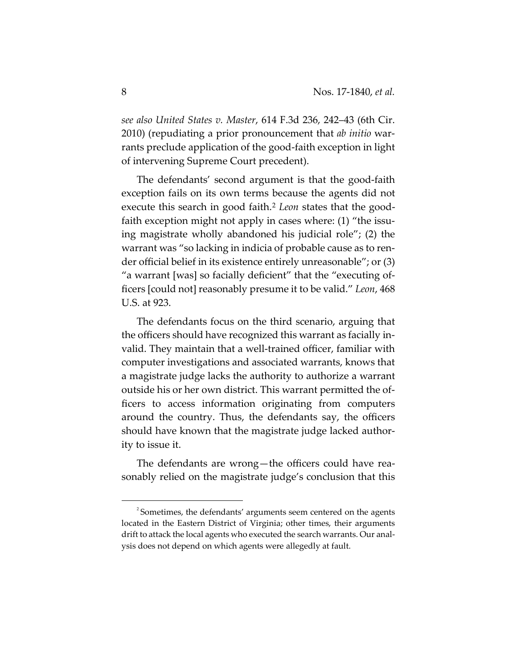*see also United States v. Master*, 614 F.3d 236, 242–43 (6th Cir. 2010) (repudiating a prior pronouncement that *ab initio* warrants preclude application of the good-faith exception in light of intervening Supreme Court precedent).

The defendants' second argument is that the good-faith exception fails on its own terms because the agents did not execute this search in good faith.<sup>[2](#page-7-0)</sup> *Leon* states that the goodfaith exception might not apply in cases where: (1) "the issuing magistrate wholly abandoned his judicial role"; (2) the warrant was "so lacking in indicia of probable cause as to render official belief in its existence entirely unreasonable"; or (3) "a warrant [was] so facially deficient" that the "executing officers [could not] reasonably presume it to be valid." *Leon*, 468 U.S. at 923.

The defendants focus on the third scenario, arguing that the officers should have recognized this warrant as facially invalid. They maintain that a well-trained officer, familiar with computer investigations and associated warrants, knows that a magistrate judge lacks the authority to authorize a warrant outside his or her own district. This warrant permitted the officers to access information originating from computers around the country. Thus, the defendants say, the officers should have known that the magistrate judge lacked authority to issue it.

The defendants are wrong—the officers could have reasonably relied on the magistrate judge's conclusion that this

 $\overline{a}$ 

<span id="page-7-0"></span><sup>&</sup>lt;sup>2</sup> Sometimes, the defendants' arguments seem centered on the agents located in the Eastern District of Virginia; other times, their arguments drift to attack the local agents who executed the search warrants. Our analysis does not depend on which agents were allegedly at fault.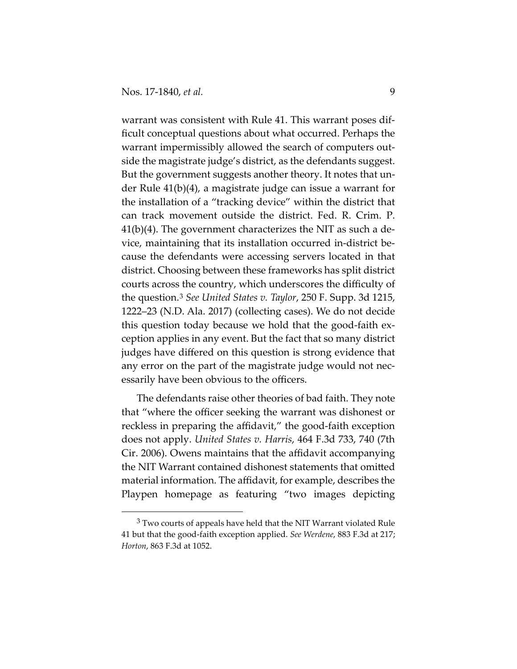$\overline{a}$ 

warrant was consistent with Rule 41. This warrant poses difficult conceptual questions about what occurred. Perhaps the warrant impermissibly allowed the search of computers outside the magistrate judge's district, as the defendants suggest. But the government suggests another theory. It notes that under Rule 41(b)(4), a magistrate judge can issue a warrant for the installation of a "tracking device" within the district that can track movement outside the district. Fed. R. Crim. P. 41(b)(4). The government characterizes the NIT as such a device, maintaining that its installation occurred in-district because the defendants were accessing servers located in that district. Choosing between these frameworks has split district courts across the country, which underscores the difficulty of the question.[3](#page-8-0) *See United States v. Taylor*, 250 F. Supp. 3d 1215, 1222–23 (N.D. Ala. 2017) (collecting cases). We do not decide this question today because we hold that the good-faith exception applies in any event. But the fact that so many district judges have differed on this question is strong evidence that any error on the part of the magistrate judge would not necessarily have been obvious to the officers.

The defendants raise other theories of bad faith. They note that "where the officer seeking the warrant was dishonest or reckless in preparing the affidavit," the good-faith exception does not apply. *United States v. Harris*, 464 F.3d 733, 740 (7th Cir. 2006). Owens maintains that the affidavit accompanying the NIT Warrant contained dishonest statements that omitted material information. The affidavit, for example, describes the Playpen homepage as featuring "two images depicting

<span id="page-8-0"></span> $3$  Two courts of appeals have held that the NIT Warrant violated Rule 41 but that the good-faith exception applied. *See Werdene*, 883 F.3d at 217; *Horton*, 863 F.3d at 1052.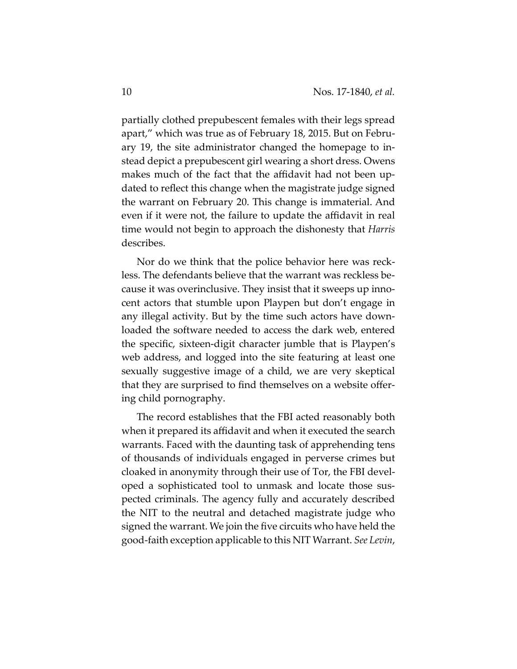partially clothed prepubescent females with their legs spread apart," which was true as of February 18, 2015. But on February 19, the site administrator changed the homepage to instead depict a prepubescent girl wearing a short dress. Owens makes much of the fact that the affidavit had not been updated to reflect this change when the magistrate judge signed the warrant on February 20. This change is immaterial. And even if it were not, the failure to update the affidavit in real time would not begin to approach the dishonesty that *Harris* describes.

Nor do we think that the police behavior here was reckless. The defendants believe that the warrant was reckless because it was overinclusive. They insist that it sweeps up innocent actors that stumble upon Playpen but don't engage in any illegal activity. But by the time such actors have downloaded the software needed to access the dark web, entered the specific, sixteen-digit character jumble that is Playpen's web address, and logged into the site featuring at least one sexually suggestive image of a child, we are very skeptical that they are surprised to find themselves on a website offering child pornography.

The record establishes that the FBI acted reasonably both when it prepared its affidavit and when it executed the search warrants. Faced with the daunting task of apprehending tens of thousands of individuals engaged in perverse crimes but cloaked in anonymity through their use of Tor, the FBI developed a sophisticated tool to unmask and locate those suspected criminals. The agency fully and accurately described the NIT to the neutral and detached magistrate judge who signed the warrant. We join the five circuits who have held the good-faith exception applicable to this NIT Warrant. *See Levin*,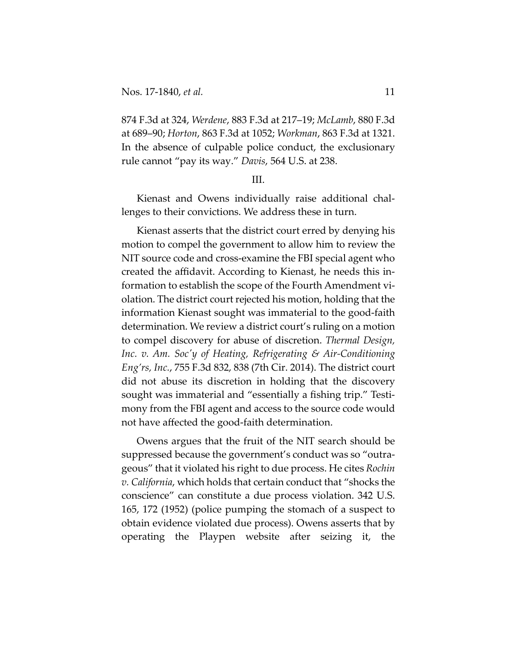874 F.3d at 324, *Werdene*, 883 F.3d at 217–19; *McLamb*, 880 F.3d at 689–90; *Horton*, 863 F.3d at 1052; *Workman*, 863 F.3d at 1321. In the absence of culpable police conduct, the exclusionary rule cannot "pay its way." *Davis*, 564 U.S. at 238.

## III.

Kienast and Owens individually raise additional challenges to their convictions. We address these in turn.

Kienast asserts that the district court erred by denying his motion to compel the government to allow him to review the NIT source code and cross-examine the FBI special agent who created the affidavit. According to Kienast, he needs this information to establish the scope of the Fourth Amendment violation. The district court rejected his motion, holding that the information Kienast sought was immaterial to the good-faith determination. We review a district court's ruling on a motion to compel discovery for abuse of discretion. *Thermal Design, Inc. v. Am. Soc'y of Heating, Refrigerating & Air-Conditioning Eng'rs, Inc.*, 755 F.3d 832, 838 (7th Cir. 2014). The district court did not abuse its discretion in holding that the discovery sought was immaterial and "essentially a fishing trip." Testimony from the FBI agent and access to the source code would not have affected the good-faith determination.

Owens argues that the fruit of the NIT search should be suppressed because the government's conduct was so "outrageous" that it violated his right to due process. He cites *Rochin v. California*, which holds that certain conduct that "shocks the conscience" can constitute a due process violation. 342 U.S. 165, 172 (1952) (police pumping the stomach of a suspect to obtain evidence violated due process). Owens asserts that by operating the Playpen website after seizing it, the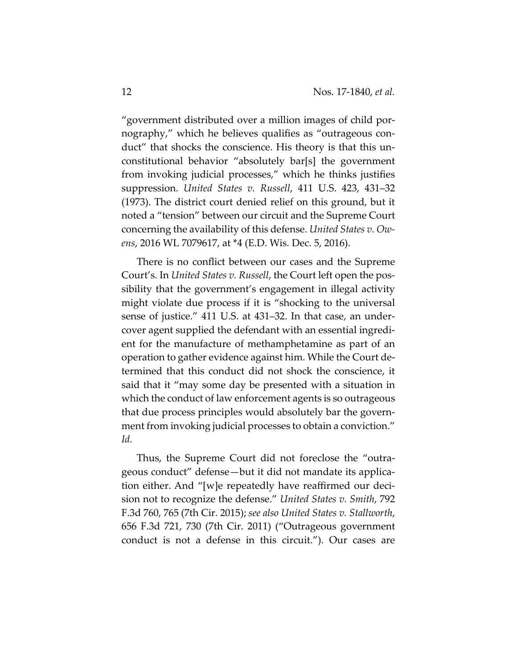"government distributed over a million images of child pornography," which he believes qualifies as "outrageous conduct" that shocks the conscience. His theory is that this unconstitutional behavior "absolutely bar[s] the government from invoking judicial processes," which he thinks justifies suppression. *United States v. Russell*, 411 U.S. 423, 431–32 (1973). The district court denied relief on this ground, but it noted a "tension" between our circuit and the Supreme Court concerning the availability of this defense. *United States v. Owens*, 2016 WL 7079617, at \*4 (E.D. Wis. Dec. 5, 2016).

There is no conflict between our cases and the Supreme Court's. In *United States v. Russell*, the Court left open the possibility that the government's engagement in illegal activity might violate due process if it is "shocking to the universal sense of justice." 411 U.S. at 431–32. In that case, an undercover agent supplied the defendant with an essential ingredient for the manufacture of methamphetamine as part of an operation to gather evidence against him. While the Court determined that this conduct did not shock the conscience, it said that it "may some day be presented with a situation in which the conduct of law enforcement agents is so outrageous that due process principles would absolutely bar the government from invoking judicial processes to obtain a conviction." *Id.*

Thus, the Supreme Court did not foreclose the "outrageous conduct" defense—but it did not mandate its application either. And "[w]e repeatedly have reaffirmed our decision not to recognize the defense." *United States v. Smith*, 792 F.3d 760, 765 (7th Cir. 2015); *see also United States v. Stallworth*, 656 F.3d 721, 730 (7th Cir. 2011) ("Outrageous government conduct is not a defense in this circuit."). Our cases are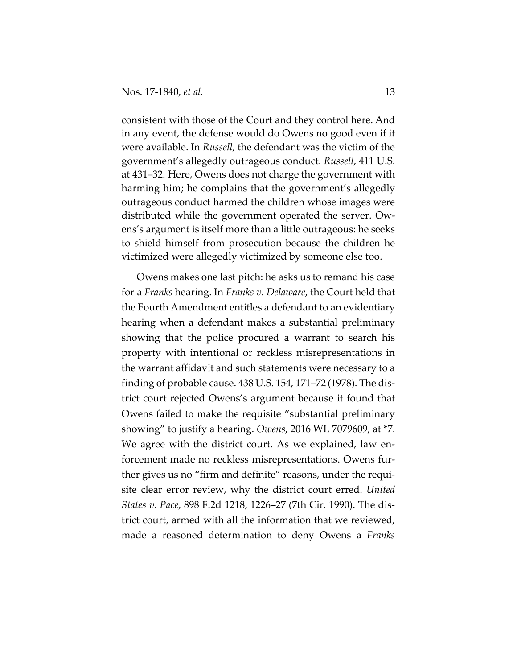consistent with those of the Court and they control here. And in any event, the defense would do Owens no good even if it were available. In *Russell,* the defendant was the victim of the government's allegedly outrageous conduct. *Russell*, 411 U.S. at 431–32. Here, Owens does not charge the government with harming him; he complains that the government's allegedly outrageous conduct harmed the children whose images were distributed while the government operated the server. Owens's argument is itself more than a little outrageous: he seeks to shield himself from prosecution because the children he victimized were allegedly victimized by someone else too.

Owens makes one last pitch: he asks us to remand his case for a *Franks* hearing. In *Franks v. Delaware*, the Court held that the Fourth Amendment entitles a defendant to an evidentiary hearing when a defendant makes a substantial preliminary showing that the police procured a warrant to search his property with intentional or reckless misrepresentations in the warrant affidavit and such statements were necessary to a finding of probable cause. 438 U.S. 154, 171–72 (1978). The district court rejected Owens's argument because it found that Owens failed to make the requisite "substantial preliminary showing" to justify a hearing. *Owens*, 2016 WL 7079609, at \*7. We agree with the district court. As we explained, law enforcement made no reckless misrepresentations. Owens further gives us no "firm and definite" reasons, under the requisite clear error review, why the district court erred. *United States v. Pace*, 898 F.2d 1218, 1226–27 (7th Cir. 1990). The district court, armed with all the information that we reviewed, made a reasoned determination to deny Owens a *Franks*